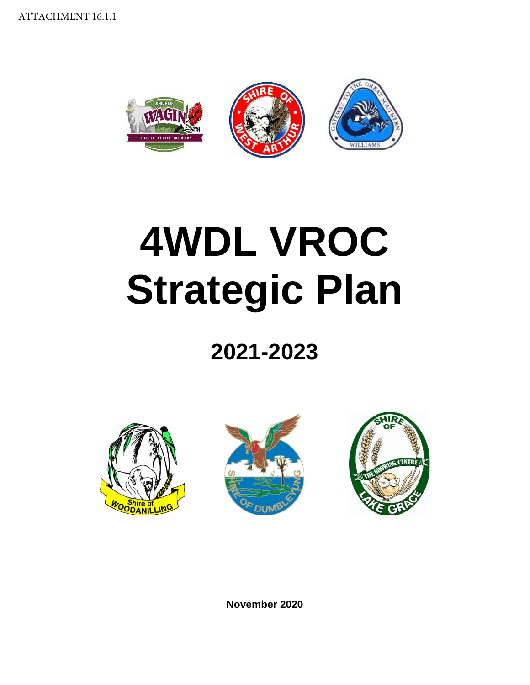

# **4WDL VROC Strategic Plan**

# **2021-2023**







**November 2020**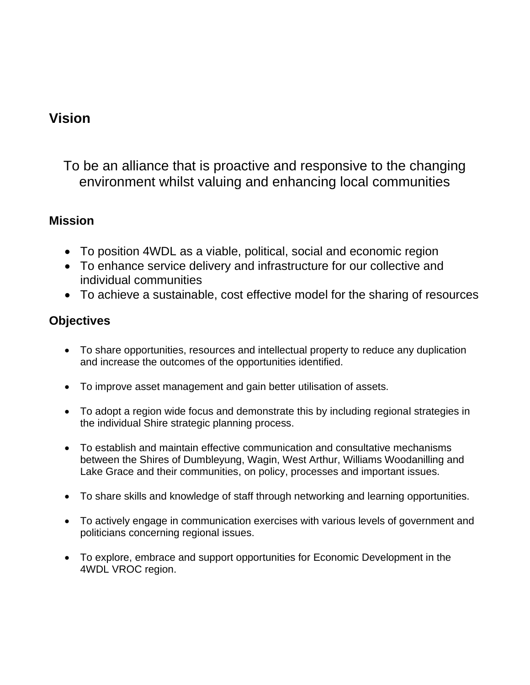## **Vision**

To be an alliance that is proactive and responsive to the changing environment whilst valuing and enhancing local communities

#### **Mission**

- To position 4WDL as a viable, political, social and economic region
- To enhance service delivery and infrastructure for our collective and individual communities
- To achieve a sustainable, cost effective model for the sharing of resources

#### **Objectives**

- To share opportunities, resources and intellectual property to reduce any duplication and increase the outcomes of the opportunities identified.
- To improve asset management and gain better utilisation of assets.
- To adopt a region wide focus and demonstrate this by including regional strategies in the individual Shire strategic planning process.
- To establish and maintain effective communication and consultative mechanisms between the Shires of Dumbleyung, Wagin, West Arthur, Williams Woodanilling and Lake Grace and their communities, on policy, processes and important issues.
- To share skills and knowledge of staff through networking and learning opportunities.
- To actively engage in communication exercises with various levels of government and politicians concerning regional issues.
- To explore, embrace and support opportunities for Economic Development in the 4WDL VROC region.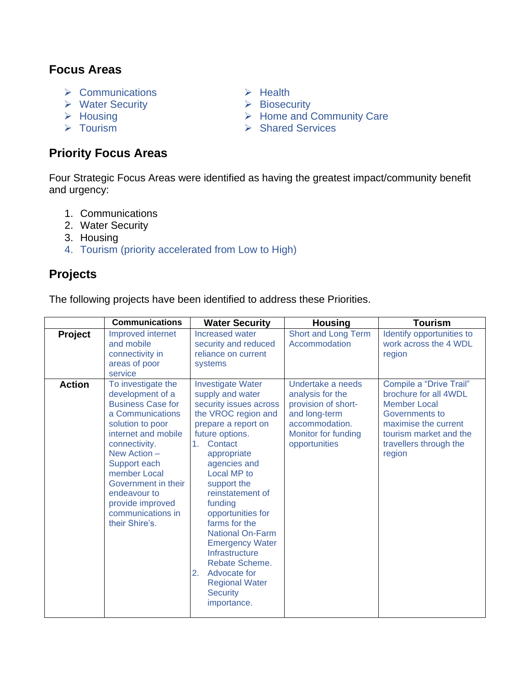#### **Focus Areas**

- ➢ Communications
- ➢ Water Security
- ➢ Housing
- ➢ Tourism

#### **Priority Focus Areas**

- ➢ Health
- ➢ Biosecurity
- ➢ Home and Community Care
- ➢ Shared Services

Four Strategic Focus Areas were identified as having the greatest impact/community benefit and urgency:

- 1. Communications
- 2. Water Security
- 3. Housing
- 4. Tourism (priority accelerated from Low to High)

#### **Projects**

The following projects have been identified to address these Priorities.

|               | <b>Communications</b>                                                                                                                                                                                                                                                                                | <b>Water Security</b>                                                                                                                                                                                                                                                                                                                                                                                                                                                | <b>Housing</b>                                                                                                                          | <b>Tourism</b>                                                                                                                                                                  |
|---------------|------------------------------------------------------------------------------------------------------------------------------------------------------------------------------------------------------------------------------------------------------------------------------------------------------|----------------------------------------------------------------------------------------------------------------------------------------------------------------------------------------------------------------------------------------------------------------------------------------------------------------------------------------------------------------------------------------------------------------------------------------------------------------------|-----------------------------------------------------------------------------------------------------------------------------------------|---------------------------------------------------------------------------------------------------------------------------------------------------------------------------------|
| Project       | Improved internet<br>and mobile<br>connectivity in<br>areas of poor<br>service                                                                                                                                                                                                                       | Increased water<br>security and reduced<br>reliance on current<br>systems                                                                                                                                                                                                                                                                                                                                                                                            | Short and Long Term<br>Accommodation                                                                                                    | Identify opportunities to<br>work across the 4 WDL<br>region                                                                                                                    |
| <b>Action</b> | To investigate the<br>development of a<br><b>Business Case for</b><br>a Communications<br>solution to poor<br>internet and mobile<br>connectivity.<br>New Action -<br>Support each<br>member Local<br>Government in their<br>endeavour to<br>provide improved<br>communications in<br>their Shire's. | <b>Investigate Water</b><br>supply and water<br>security issues across<br>the VROC region and<br>prepare a report on<br>future options.<br>Contact<br>1.<br>appropriate<br>agencies and<br>Local MP to<br>support the<br>reinstatement of<br>funding<br>opportunities for<br>farms for the<br><b>National On-Farm</b><br><b>Emergency Water</b><br>Infrastructure<br>Rebate Scheme.<br>2.<br>Advocate for<br><b>Regional Water</b><br><b>Security</b><br>importance. | Undertake a needs<br>analysis for the<br>provision of short-<br>and long-term<br>accommodation.<br>Monitor for funding<br>opportunities | Compile a "Drive Trail"<br>brochure for all 4WDL<br><b>Member Local</b><br>Governments to<br>maximise the current<br>tourism market and the<br>travellers through the<br>region |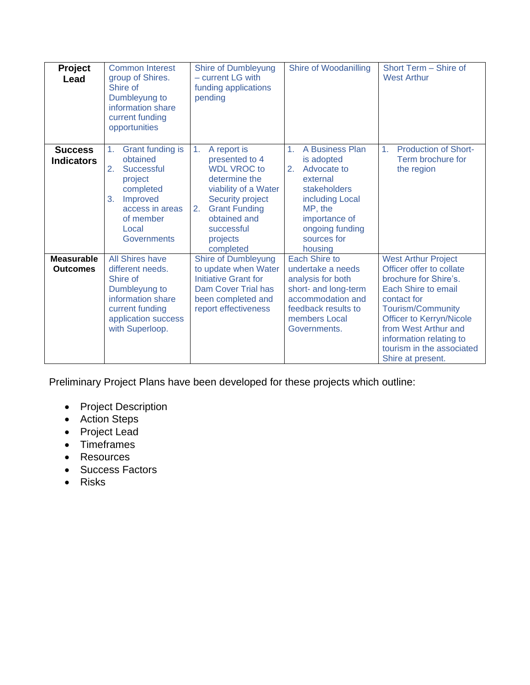| <b>Project</b><br>Lead               | <b>Common Interest</b><br>group of Shires.<br>Shire of<br>Dumbleyung to<br>information share<br>current funding<br>opportunities                                | <b>Shire of Dumbleyung</b><br>- current LG with<br>funding applications<br>pending                                                                                                                                      | Shire of Woodanilling                                                                                                                                                                        | Short Term - Shire of<br><b>West Arthur</b>                                                                                                                                                                                                                                               |
|--------------------------------------|-----------------------------------------------------------------------------------------------------------------------------------------------------------------|-------------------------------------------------------------------------------------------------------------------------------------------------------------------------------------------------------------------------|----------------------------------------------------------------------------------------------------------------------------------------------------------------------------------------------|-------------------------------------------------------------------------------------------------------------------------------------------------------------------------------------------------------------------------------------------------------------------------------------------|
| <b>Success</b><br><b>Indicators</b>  | Grant funding is<br>1.<br>obtained<br>2.<br>Successful<br>project<br>completed<br>Improved<br>3.<br>access in areas<br>of member<br>Local<br><b>Governments</b> | A report is<br>1 <sub>1</sub><br>presented to 4<br><b>WDL VROC to</b><br>determine the<br>viability of a Water<br>Security project<br><b>Grant Funding</b><br>2.<br>obtained and<br>successful<br>projects<br>completed | A Business Plan<br>1 <sub>1</sub><br>is adopted<br>Advocate to<br>2.<br>external<br>stakeholders<br>including Local<br>MP, the<br>importance of<br>ongoing funding<br>sources for<br>housing | <b>Production of Short-</b><br>1 <sub>1</sub><br>Term brochure for<br>the region                                                                                                                                                                                                          |
| <b>Measurable</b><br><b>Outcomes</b> | <b>All Shires have</b><br>different needs.<br>Shire of<br>Dumbleyung to<br>information share<br>current funding<br>application success<br>with Superloop.       | Shire of Dumbleyung<br>to update when Water<br>Initiative Grant for<br><b>Dam Cover Trial has</b><br>been completed and<br>report effectiveness                                                                         | Each Shire to<br>undertake a needs<br>analysis for both<br>short- and long-term<br>accommodation and<br>feedback results to<br>members Local<br>Governments.                                 | <b>West Arthur Project</b><br>Officer offer to collate<br>brochure for Shire's.<br><b>Each Shire to email</b><br>contact for<br><b>Tourism/Community</b><br>Officer to Kerryn/Nicole<br>from West Arthur and<br>information relating to<br>tourism in the associated<br>Shire at present. |

Preliminary Project Plans have been developed for these projects which outline:

- Project Description
- Action Steps
- Project Lead
- Timeframes
- Resources
- Success Factors
- Risks